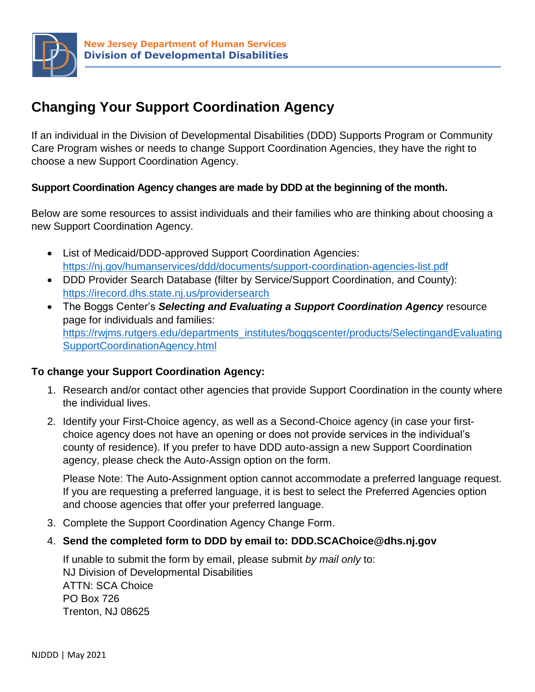

## **Changing Your Support Coordination Agency**

If an individual in the Division of Developmental Disabilities (DDD) Supports Program or Community Care Program wishes or needs to change Support Coordination Agencies, they have the right to choose a new Support Coordination Agency.

#### **Support Coordination Agency changes are made by DDD at the beginning of the month.**

Below are some resources to assist individuals and their families who are thinking about choosing a new Support Coordination Agency.

- List of Medicaid/DDD-approved Support Coordination Agencies: <https://nj.gov/humanservices/ddd/documents/support-coordination-agencies-list.pdf>
- DDD Provider Search Database (filter by Service/Support Coordination, and County): <https://irecord.dhs.state.nj.us/providersearch>
- The Boggs Center's *Selecting and Evaluating a Support Coordination Agency* resource page for individuals and families: [https://rwjms.rutgers.edu/departments\\_institutes/boggscenter/products/SelectingandEvaluating](https://rwjms.rutgers.edu/departments_institutes/boggscenter/products/SelectingandEvaluatingSupportCoordinationAgency.html) [SupportCoordinationAgency.html](https://rwjms.rutgers.edu/departments_institutes/boggscenter/products/SelectingandEvaluatingSupportCoordinationAgency.html)

#### **To change your Support Coordination Agency:**

- 1. Research and/or contact other agencies that provide Support Coordination in the county where the individual lives.
- 2. Identify your First-Choice agency, as well as a Second-Choice agency (in case your firstchoice agency does not have an opening or does not provide services in the individual's county of residence). If you prefer to have DDD auto-assign a new Support Coordination agency, please check the Auto-Assign option on the form.

Please Note: The Auto-Assignment option cannot accommodate a preferred language request. If you are requesting a preferred language, it is best to select the Preferred Agencies option and choose agencies that offer your preferred language.

- 3. Complete the Support Coordination Agency Change Form.
- 4. **Send the completed form to DDD by email to: [DDD.SCAChoice@dhs.nj.gov](mailto:DDD.SCAChoice@dhs.nj.gov)**

If unable to submit the form by email, please submit *by mail only* to: NJ Division of Developmental Disabilities ATTN: SCA Choice PO Box 726 Trenton, NJ 08625